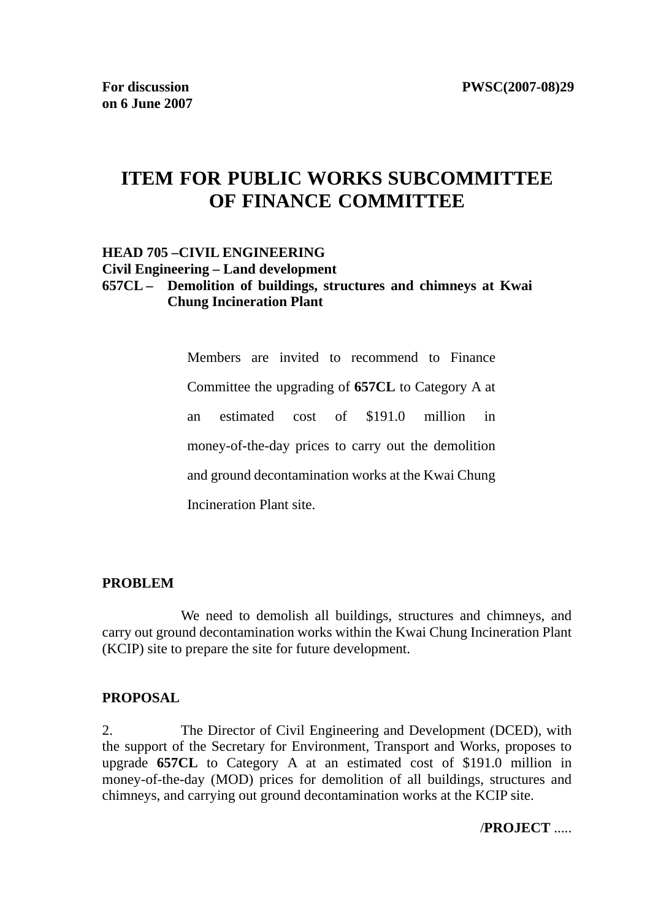# **ITEM FOR PUBLIC WORKS SUBCOMMITTEE OF FINANCE COMMITTEE**

#### **HEAD 705 –CIVIL ENGINEERING Civil Engineering – Land development 657CL – Demolition of buildings, structures and chimneys at Kwai Chung Incineration Plant**

Members are invited to recommend to Finance Committee the upgrading of **657CL** to Category A at an estimated cost of \$191.0 million in money-of-the-day prices to carry out the demolition and ground decontamination works at the Kwai Chung Incineration Plant site.

#### **PROBLEM**

 We need to demolish all buildings, structures and chimneys, and carry out ground decontamination works within the Kwai Chung Incineration Plant (KCIP) site to prepare the site for future development.

#### **PROPOSAL**

2. The Director of Civil Engineering and Development (DCED), with the support of the Secretary for Environment, Transport and Works, proposes to upgrade **657CL** to Category A at an estimated cost of \$191.0 million in money-of-the-day (MOD) prices for demolition of all buildings, structures and chimneys, and carrying out ground decontamination works at the KCIP site.

/**PROJECT** .....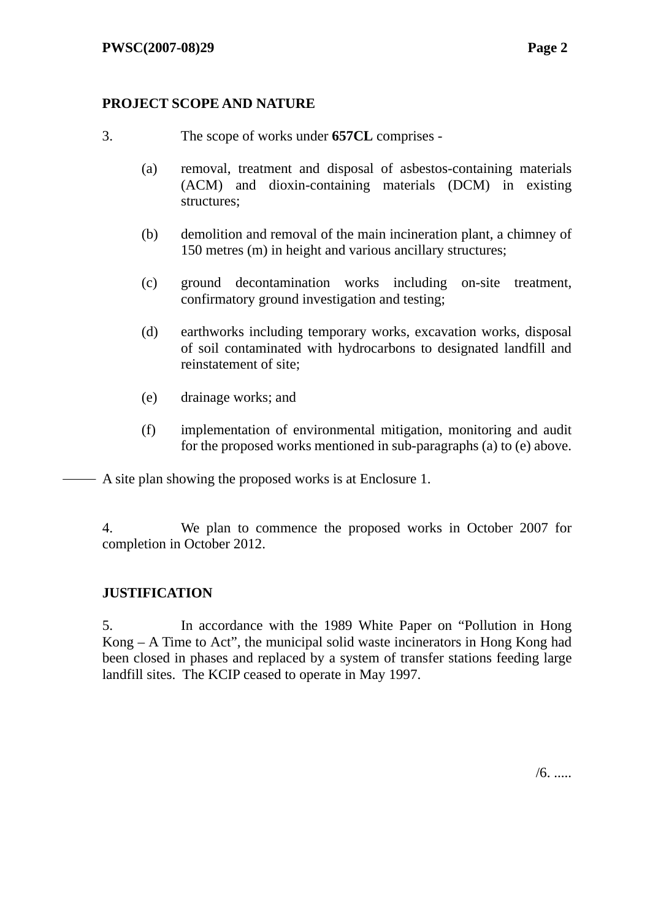#### **PROJECT SCOPE AND NATURE**

- 3. The scope of works under **657CL** comprises
	- (a) removal, treatment and disposal of asbestos-containing materials (ACM) and dioxin-containing materials (DCM) in existing structures;
	- (b) demolition and removal of the main incineration plant, a chimney of 150 metres (m) in height and various ancillary structures;
	- (c) ground decontamination works including on-site treatment, confirmatory ground investigation and testing;
	- (d) earthworks including temporary works, excavation works, disposal of soil contaminated with hydrocarbons to designated landfill and reinstatement of site;
	- (e) drainage works; and
	- (f) implementation of environmental mitigation, monitoring and audit for the proposed works mentioned in sub-paragraphs (a) to (e) above.
- A site plan showing the proposed works is at Enclosure 1.

4. We plan to commence the proposed works in October 2007 for completion in October 2012.

#### **JUSTIFICATION**

5. In accordance with the 1989 White Paper on "Pollution in Hong Kong – A Time to Act", the municipal solid waste incinerators in Hong Kong had been closed in phases and replaced by a system of transfer stations feeding large landfill sites. The KCIP ceased to operate in May 1997.

 $/6.$ .....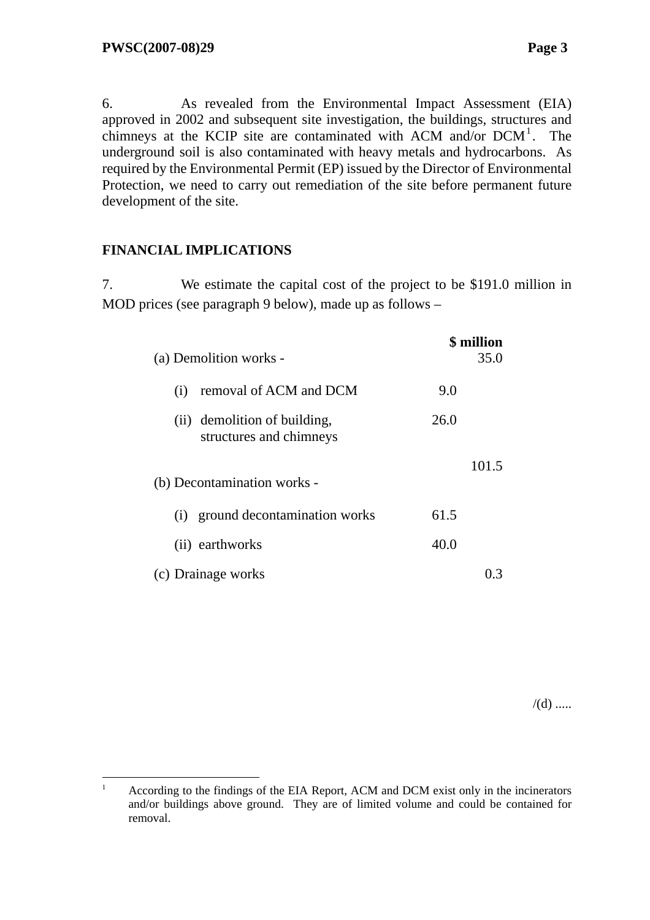6. As revealed from the Environmental Impact Assessment (EIA) approved in 2002 and subsequent site investigation, the buildings, structures and chimneys at the KCIP site are contaminated with ACM and/or DCM<sup>1</sup>. The underground soil is also contaminated with heavy metals and hydrocarbons. As required by the Environmental Permit (EP) issued by the Director of Environmental Protection, we need to carry out remediation of the site before permanent future development of the site.

### **FINANCIAL IMPLICATIONS**

 $\overline{a}$ 

7. We estimate the capital cost of the project to be \$191.0 million in MOD prices (see paragraph 9 below), made up as follows –

| (a) Demolition works -                                  | <b>\$</b> million<br>35.0 |
|---------------------------------------------------------|---------------------------|
| removal of ACM and DCM<br>(i)                           | 9.0                       |
| (ii) demolition of building,<br>structures and chimneys | 26.0                      |
| (b) Decontamination works -                             | 101.5                     |
| ground decontamination works<br>(i)                     | 61.5                      |
| (ii) earthworks                                         | 40.0                      |
| (c) Drainage works                                      |                           |

 $/(d)$  .....

<sup>1</sup> According to the findings of the EIA Report, ACM and DCM exist only in the incinerators and/or buildings above ground. They are of limited volume and could be contained for removal.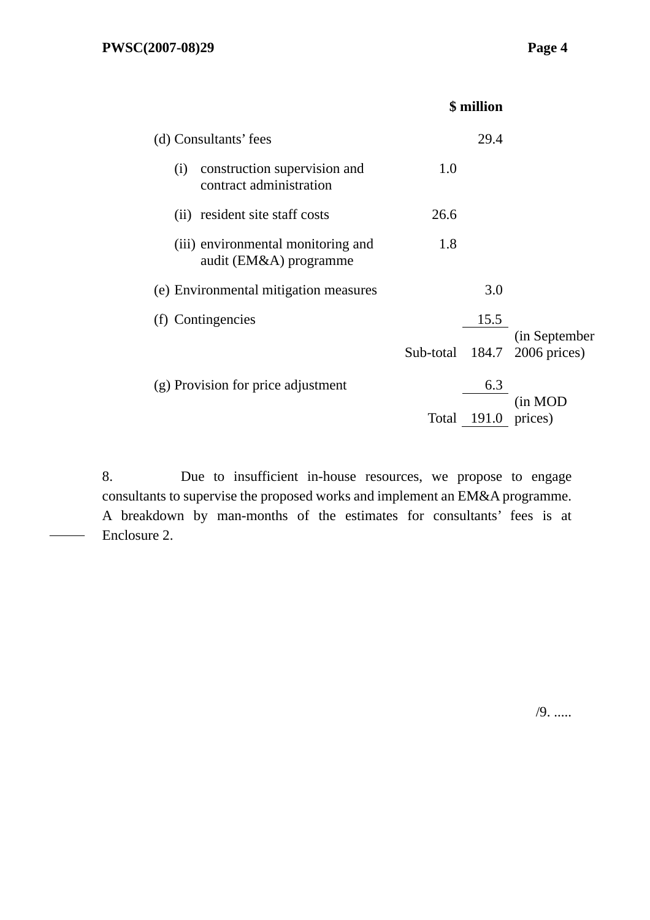|                                                                | \$ million |       |                               |
|----------------------------------------------------------------|------------|-------|-------------------------------|
| (d) Consultants' fees                                          |            | 29.4  |                               |
| construction supervision and<br>(i)<br>contract administration | 1.0        |       |                               |
| (ii) resident site staff costs                                 | 26.6       |       |                               |
| (iii) environmental monitoring and<br>audit (EM&A) programme   | 1.8        |       |                               |
| (e) Environmental mitigation measures                          |            | 3.0   |                               |
| (f) Contingencies                                              |            | 15.5  |                               |
|                                                                | Sub-total  | 184.7 | (in September<br>2006 prices) |
| (g) Provision for price adjustment                             |            | 6.3   |                               |
|                                                                | Total      | 191.0 | (in MOD<br>prices)            |

8. Due to insufficient in-house resources, we propose to engage consultants to supervise the proposed works and implement an EM&A programme. A breakdown by man-months of the estimates for consultants' fees is at Enclosure 2.

/9. .....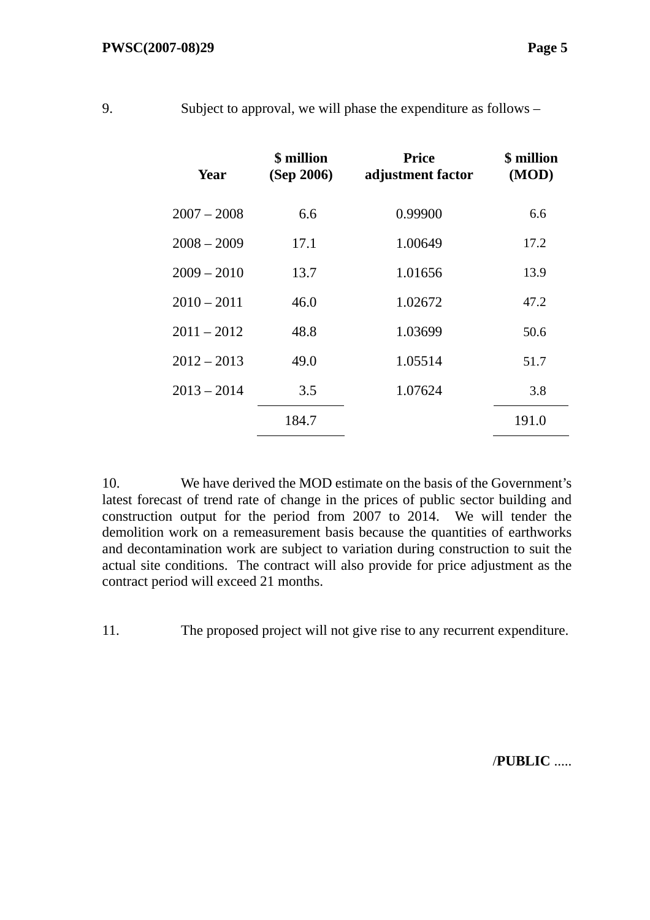| Year          | \$ million<br>(Sep 2006) | <b>Price</b><br>adjustment factor | \$ million<br>(MOD) |
|---------------|--------------------------|-----------------------------------|---------------------|
|               |                          |                                   |                     |
| $2007 - 2008$ | 6.6                      | 0.99900                           | 6.6                 |
| $2008 - 2009$ | 17.1                     | 1.00649                           | 17.2                |
| $2009 - 2010$ | 13.7                     | 1.01656                           | 13.9                |
| $2010 - 2011$ | 46.0                     | 1.02672                           | 47.2                |
| $2011 - 2012$ | 48.8                     | 1.03699                           | 50.6                |
| $2012 - 2013$ | 49.0                     | 1.05514                           | 51.7                |
| $2013 - 2014$ | 3.5                      | 1.07624                           | 3.8                 |
|               | 184.7                    |                                   | 191.0               |

9. Subject to approval, we will phase the expenditure as follows –

10. We have derived the MOD estimate on the basis of the Government's latest forecast of trend rate of change in the prices of public sector building and construction output for the period from 2007 to 2014. We will tender the demolition work on a remeasurement basis because the quantities of earthworks and decontamination work are subject to variation during construction to suit the actual site conditions. The contract will also provide for price adjustment as the contract period will exceed 21 months.

11. The proposed project will not give rise to any recurrent expenditure.

/**PUBLIC** .....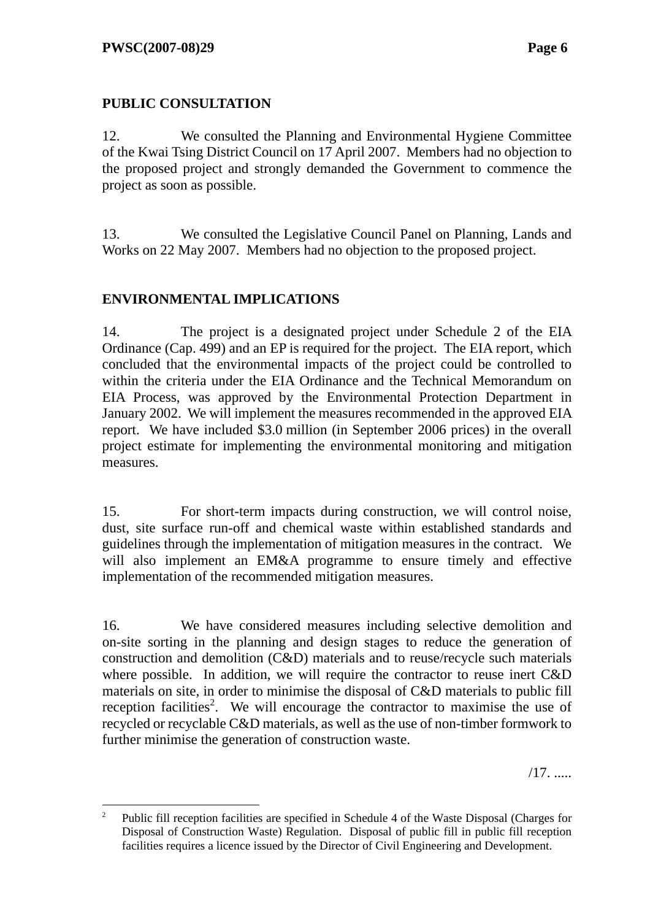### **PUBLIC CONSULTATION**

12. We consulted the Planning and Environmental Hygiene Committee of the Kwai Tsing District Council on 17 April 2007. Members had no objection to the proposed project and strongly demanded the Government to commence the project as soon as possible.

13. We consulted the Legislative Council Panel on Planning, Lands and Works on 22 May 2007. Members had no objection to the proposed project.

### **ENVIRONMENTAL IMPLICATIONS**

14. The project is a designated project under Schedule 2 of the EIA Ordinance (Cap. 499) and an EP is required for the project. The EIA report, which concluded that the environmental impacts of the project could be controlled to within the criteria under the EIA Ordinance and the Technical Memorandum on EIA Process, was approved by the Environmental Protection Department in January 2002. We will implement the measures recommended in the approved EIA report. We have included \$3.0 million (in September 2006 prices) in the overall project estimate for implementing the environmental monitoring and mitigation measures.

15. For short-term impacts during construction, we will control noise, dust, site surface run-off and chemical waste within established standards and guidelines through the implementation of mitigation measures in the contract. We will also implement an EM&A programme to ensure timely and effective implementation of the recommended mitigation measures.

16. We have considered measures including selective demolition and on-site sorting in the planning and design stages to reduce the generation of construction and demolition (C&D) materials and to reuse/recycle such materials where possible. In addition, we will require the contractor to reuse inert C&D materials on site, in order to minimise the disposal of C&D materials to public fill reception facilities<sup>2</sup>. We will encourage the contractor to maximise the use of recycled or recyclable C&D materials, as well as the use of non-timber formwork to further minimise the generation of construction waste.

/17. .....

 $\frac{1}{2}$  Public fill reception facilities are specified in Schedule 4 of the Waste Disposal (Charges for Disposal of Construction Waste) Regulation. Disposal of public fill in public fill reception facilities requires a licence issued by the Director of Civil Engineering and Development.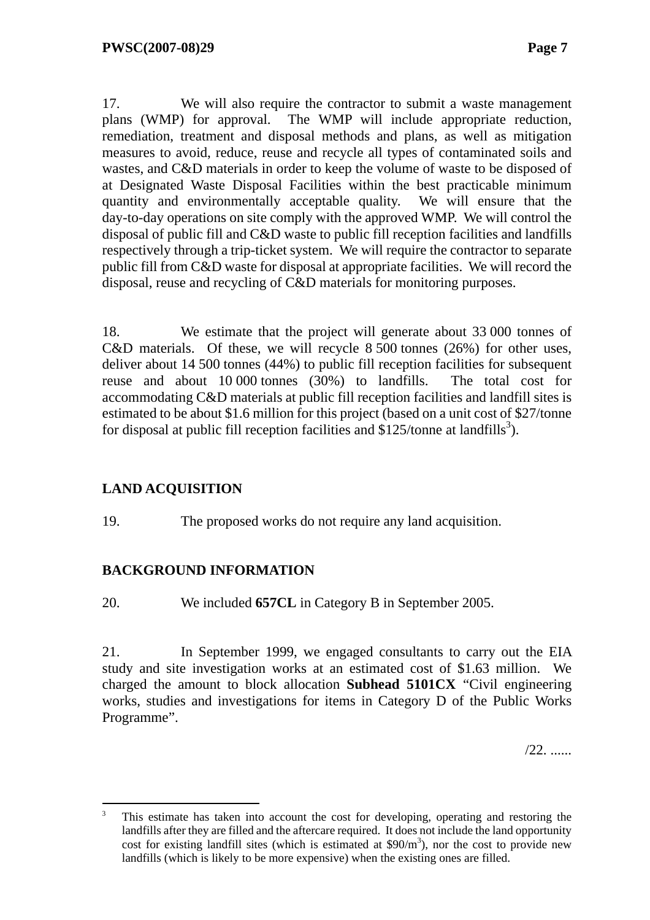17. We will also require the contractor to submit a waste management plans (WMP) for approval. The WMP will include appropriate reduction, remediation, treatment and disposal methods and plans, as well as mitigation measures to avoid, reduce, reuse and recycle all types of contaminated soils and wastes, and C&D materials in order to keep the volume of waste to be disposed of at Designated Waste Disposal Facilities within the best practicable minimum quantity and environmentally acceptable quality. We will ensure that the day-to-day operations on site comply with the approved WMP. We will control the disposal of public fill and C&D waste to public fill reception facilities and landfills respectively through a trip-ticket system. We will require the contractor to separate public fill from C&D waste for disposal at appropriate facilities. We will record the disposal, reuse and recycling of C&D materials for monitoring purposes.

18. We estimate that the project will generate about 33 000 tonnes of C&D materials. Of these, we will recycle 8 500 tonnes (26%) for other uses, deliver about 14 500 tonnes (44%) to public fill reception facilities for subsequent reuse and about 10 000 tonnes (30%) to landfills. The total cost for accommodating C&D materials at public fill reception facilities and landfill sites is estimated to be about \$1.6 million for this project (based on a unit cost of \$27/tonne for disposal at public fill reception facilities and  $$125$ /tonne at landfills<sup>3</sup>).

#### **LAND ACQUISITION**

19. The proposed works do not require any land acquisition.

#### **BACKGROUND INFORMATION**

20. We included **657CL** in Category B in September 2005.

21. In September 1999, we engaged consultants to carry out the EIA study and site investigation works at an estimated cost of \$1.63 million. We charged the amount to block allocation **Subhead 5101CX** "Civil engineering works, studies and investigations for items in Category D of the Public Works Programme".

/22. ......

 $\overline{a}$ 3 This estimate has taken into account the cost for developing, operating and restoring the landfills after they are filled and the aftercare required. It does not include the land opportunity cost for existing landfill sites (which is estimated at  $$90/m<sup>3</sup>$ ), nor the cost to provide new landfills (which is likely to be more expensive) when the existing ones are filled.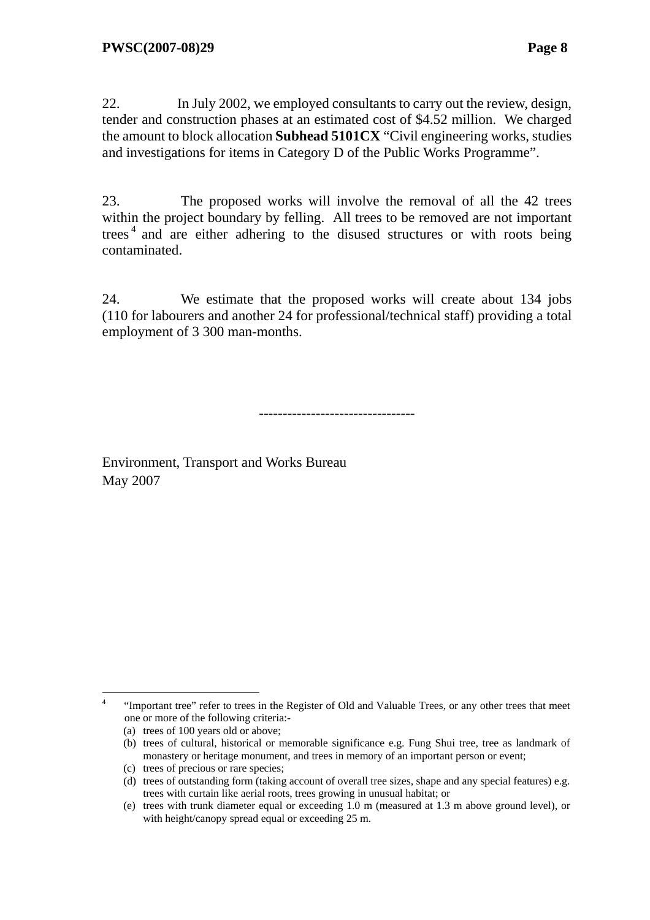22. In July 2002, we employed consultants to carry out the review, design, tender and construction phases at an estimated cost of \$4.52 million. We charged the amount to block allocation **Subhead 5101CX** "Civil engineering works, studies and investigations for items in Category D of the Public Works Programme".

23. The proposed works will involve the removal of all the 42 trees within the project boundary by felling. All trees to be removed are not important trees<sup>4</sup> and are either adhering to the disused structures or with roots being contaminated.

24. We estimate that the proposed works will create about 134 jobs (110 for labourers and another 24 for professional/technical staff) providing a total employment of 3 300 man-months.

---------------------------------

Environment, Transport and Works Bureau May 2007

 $\frac{1}{4}$  "Important tree" refer to trees in the Register of Old and Valuable Trees, or any other trees that meet one or more of the following criteria:-

<sup>(</sup>a) trees of 100 years old or above;

<sup>(</sup>b) trees of cultural, historical or memorable significance e.g. Fung Shui tree, tree as landmark of monastery or heritage monument, and trees in memory of an important person or event;

<sup>(</sup>c) trees of precious or rare species;

<sup>(</sup>d) trees of outstanding form (taking account of overall tree sizes, shape and any special features) e.g. trees with curtain like aerial roots, trees growing in unusual habitat; or

<sup>(</sup>e) trees with trunk diameter equal or exceeding 1.0 m (measured at 1.3 m above ground level), or with height/canopy spread equal or exceeding 25 m.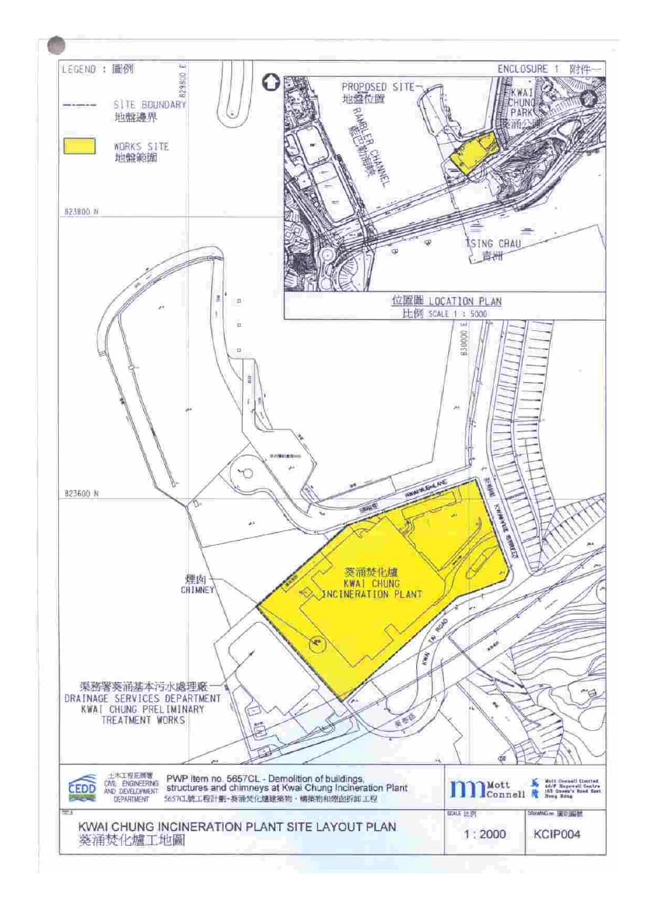